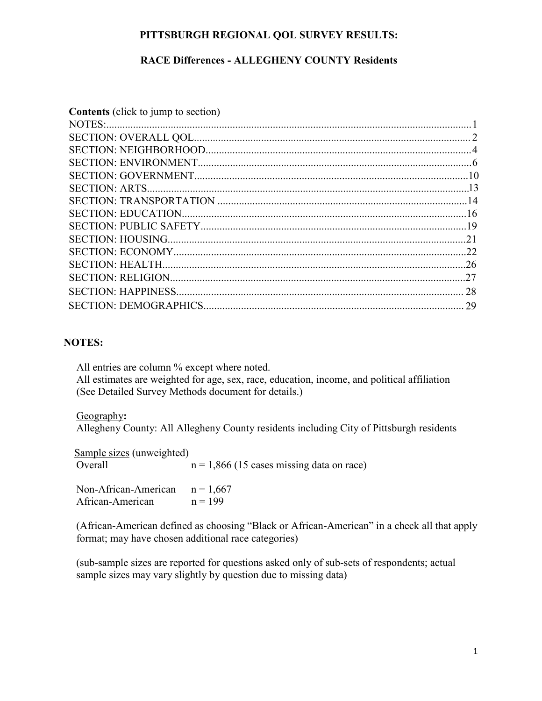### **PITTSBURGH REGIONAL QOL SURVEY RESULTS:**

### **RACE Differences - ALLEGHENY COUNTY Residents**

| <b>Contents</b> (click to jump to section) |  |
|--------------------------------------------|--|
|                                            |  |
|                                            |  |
|                                            |  |
|                                            |  |
|                                            |  |
|                                            |  |
|                                            |  |
|                                            |  |
|                                            |  |
|                                            |  |
|                                            |  |
|                                            |  |
|                                            |  |
|                                            |  |
|                                            |  |
|                                            |  |

#### **NOTES:**

All entries are column % except where noted. All estimates are weighted for age, sex, race, education, income, and political affiliation (See Detailed Survey Methods document for details.)

### Geography**:**

Allegheny County: All Allegheny County residents including City of Pittsburgh residents

| Sample sizes (unweighted)<br>Overall | $n = 1,866$ (15 cases missing data on race) |
|--------------------------------------|---------------------------------------------|
| Non-African-American                 | $n = 1,667$                                 |
| African-American                     | $n = 199$                                   |

(African-American defined as choosing "Black or African-American" in a check all that apply format; may have chosen additional race categories)

(sub-sample sizes are reported for questions asked only of sub-sets of respondents; actual sample sizes may vary slightly by question due to missing data)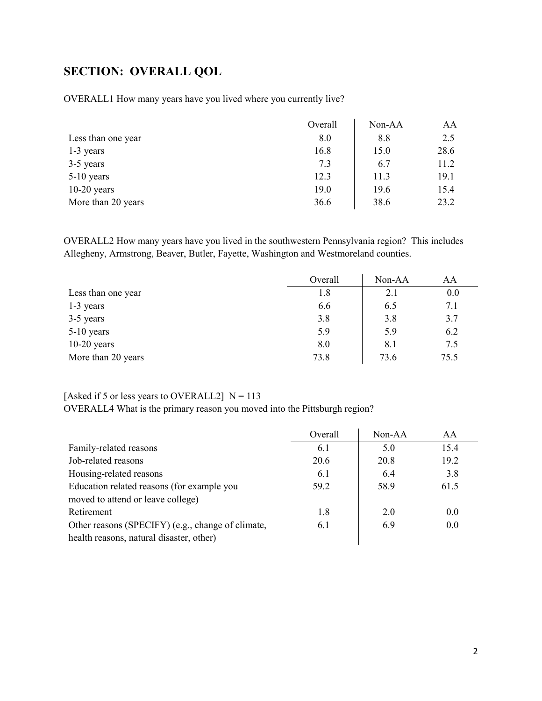# <span id="page-1-0"></span>**SECTION: OVERALL QOL**

OVERALL1 How many years have you lived where you currently live?

|                    | Overall | Non-AA | AA   |
|--------------------|---------|--------|------|
| Less than one year | 8.0     | 8.8    | 2.5  |
| 1-3 years          | 16.8    | 15.0   | 28.6 |
| 3-5 years          | 7.3     | 6.7    | 11.2 |
| $5-10$ years       | 12.3    | 11.3   | 19.1 |
| $10-20$ years      | 19.0    | 19.6   | 15.4 |
| More than 20 years | 36.6    | 38.6   | 23.2 |

OVERALL2 How many years have you lived in the southwestern Pennsylvania region? This includes Allegheny, Armstrong, Beaver, Butler, Fayette, Washington and Westmoreland counties.

|                    | Overall | Non-AA | AA   |
|--------------------|---------|--------|------|
| Less than one year | 1.8     | 2.1    | 0.0  |
| 1-3 years          | 6.6     | 6.5    | 7.1  |
| 3-5 years          | 3.8     | 3.8    | 3.7  |
| 5-10 years         | 5.9     | 5.9    | 6.2  |
| $10-20$ years      | 8.0     | 8.1    | 7.5  |
| More than 20 years | 73.8    | 73.6   | 75.5 |

### [Asked if 5 or less years to OVERALL2]  $N = 113$

OVERALL4 What is the primary reason you moved into the Pittsburgh region?

|                                                   | Overall | $Non-AA$ | AA   |
|---------------------------------------------------|---------|----------|------|
| Family-related reasons                            | 6.1     | 5.0      | 15.4 |
| Job-related reasons                               | 20.6    | 20.8     | 19.2 |
| Housing-related reasons                           | 6.1     | 6.4      | 3.8  |
| Education related reasons (for example you        | 59.2    | 58.9     | 61.5 |
| moved to attend or leave college)                 |         |          |      |
| Retirement                                        | 1.8     | 2.0      | 0.0  |
| Other reasons (SPECIFY) (e.g., change of climate, | 6.1     | 6.9      | 0.0  |
| health reasons, natural disaster, other)          |         |          |      |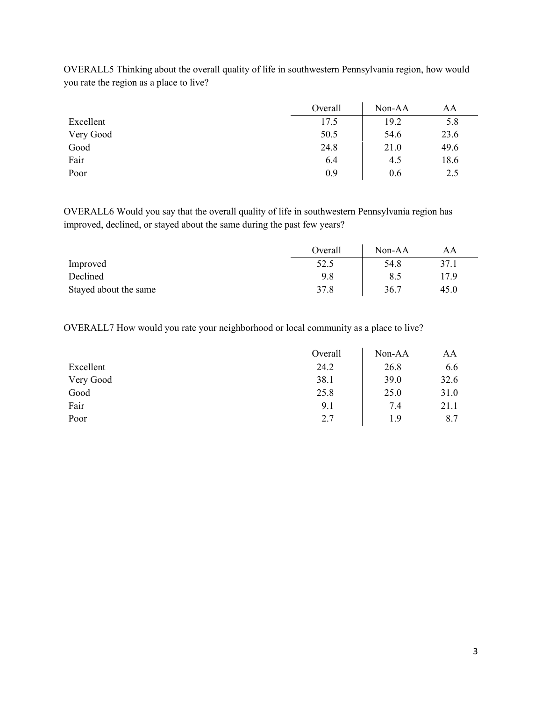|           | Overall | Non-AA | AA   |
|-----------|---------|--------|------|
| Excellent | 17.5    | 19.2   | 5.8  |
| Very Good | 50.5    | 54.6   | 23.6 |
| Good      | 24.8    | 21.0   | 49.6 |
| Fair      | 6.4     | 4.5    | 18.6 |
| Poor      | 0.9     | 0.6    | 2.5  |

OVERALL5 Thinking about the overall quality of life in southwestern Pennsylvania region, how would you rate the region as a place to live?

OVERALL6 Would you say that the overall quality of life in southwestern Pennsylvania region has improved, declined, or stayed about the same during the past few years?

|                       | Overall | Non-AA | AΑ   |
|-----------------------|---------|--------|------|
| Improved              | 52.5    | 54.8   | 37.1 |
| Declined              | 9.8     |        | 17 Q |
| Stayed about the same | 37.8    | 36.7   | 45.0 |

OVERALL7 How would you rate your neighborhood or local community as a place to live?

|           | Overall | Non-AA | AA   |
|-----------|---------|--------|------|
| Excellent | 24.2    | 26.8   | 6.6  |
| Very Good | 38.1    | 39.0   | 32.6 |
| Good      | 25.8    | 25.0   | 31.0 |
| Fair      | 9.1     | 7.4    | 21.1 |
| Poor      | 2.7     | 1.9    | 8.7  |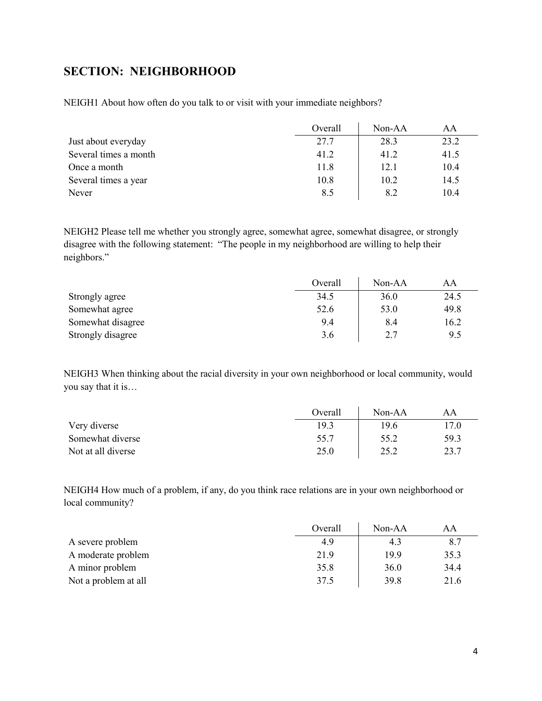## <span id="page-3-0"></span>**SECTION: NEIGHBORHOOD**

NEIGH1 About how often do you talk to or visit with your immediate neighbors?

|                       | Overall | $Non-AA$ | AA   |
|-----------------------|---------|----------|------|
| Just about everyday   | 27.7    | 28.3     | 23.2 |
| Several times a month | 41.2    | 41.2     | 41.5 |
| Once a month          | 11.8    | 12.1     | 10.4 |
| Several times a year  | 10.8    | 10.2     | 14.5 |
| Never                 | 8.5     | 8.2      | 10.4 |

NEIGH2 Please tell me whether you strongly agree, somewhat agree, somewhat disagree, or strongly disagree with the following statement: "The people in my neighborhood are willing to help their neighbors."

|                   | Overall | Non-AA | AA   |
|-------------------|---------|--------|------|
| Strongly agree    | 34.5    | 36.0   | 24.5 |
| Somewhat agree    | 52.6    | 53.0   | 49.8 |
| Somewhat disagree | 9.4     | 8.4    | 16.2 |
| Strongly disagree | 3.6     | 2.7    | 9.5  |

NEIGH3 When thinking about the racial diversity in your own neighborhood or local community, would you say that it is…

|                    | Overall | $Non-AA$ | AA   |
|--------------------|---------|----------|------|
| Very diverse       | 19.3    | 19.6     | 17.0 |
| Somewhat diverse   | 55.7    | 55.2     | 59.3 |
| Not at all diverse | 25.0    | 25.2     | 23.7 |

NEIGH4 How much of a problem, if any, do you think race relations are in your own neighborhood or local community?

|                      | Overall | $Non-AA$ | AA   |
|----------------------|---------|----------|------|
| A severe problem     | 4.9     | 4.3      | 8.7  |
| A moderate problem   | 21.9    | 19.9     | 35.3 |
| A minor problem      | 35.8    | 36.0     | 34.4 |
| Not a problem at all | 37.5    | 39.8     | 21.6 |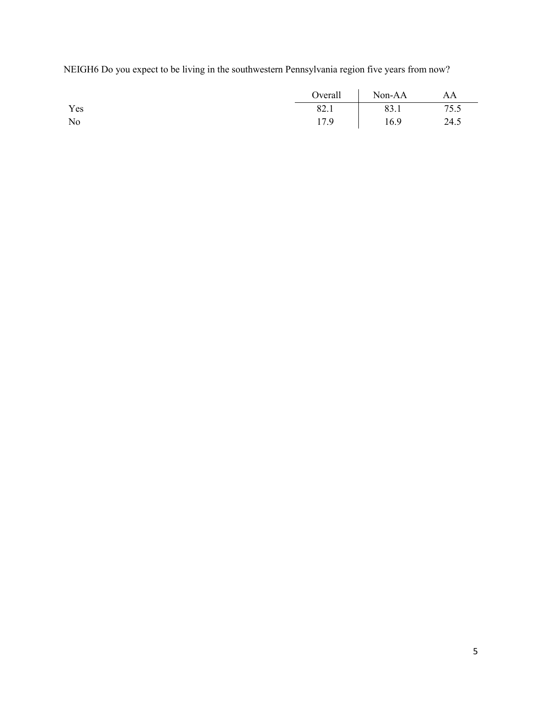NEIGH6 Do you expect to be living in the southwestern Pennsylvania region five years from now?

|     | Overall | Non-AA | AA   |
|-----|---------|--------|------|
| Yes | 82.1    | 83.1   | 75.5 |
| No  | 17.9    | 16.9   | 24.5 |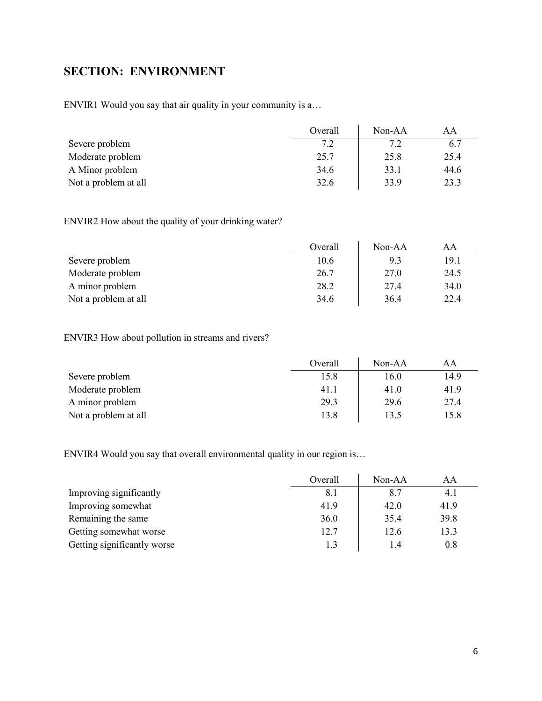# <span id="page-5-0"></span>**SECTION: ENVIRONMENT**

ENVIR1 Would you say that air quality in your community is a…

|                      | Overall | Non-AA | AΑ   |
|----------------------|---------|--------|------|
| Severe problem       | 7.2     | 7.2    | 6.7  |
| Moderate problem     | 25.7    | 25.8   | 25.4 |
| A Minor problem      | 34.6    | 33.1   | 44.6 |
| Not a problem at all | 32.6    | 33.9   | 23.3 |

ENVIR2 How about the quality of your drinking water?

|                      | Overall | $Non-AA$ | AA   |
|----------------------|---------|----------|------|
| Severe problem       | 10.6    | 9.3      | 19.1 |
| Moderate problem     | 26.7    | 27.0     | 24.5 |
| A minor problem      | 28.2    | 27.4     | 34.0 |
| Not a problem at all | 34.6    | 36.4     | 22.4 |

## ENVIR3 How about pollution in streams and rivers?

|                      | Overall | Non-AA | AΑ   |
|----------------------|---------|--------|------|
| Severe problem       | 15.8    | 16.0   | 14.9 |
| Moderate problem     | 41.1    | 41.0   | 41.9 |
| A minor problem      | 29.3    | 29.6   | 27.4 |
| Not a problem at all | 13.8    | 13.5   | 15.8 |

ENVIR4 Would you say that overall environmental quality in our region is…

|                             | Overall | Non-AA | AA      |
|-----------------------------|---------|--------|---------|
| Improving significantly     | 8.1     | 8.7    | 4.1     |
| Improving somewhat          | 41.9    | 42.0   | 41.9    |
| Remaining the same          | 36.0    | 35.4   | 39.8    |
| Getting somewhat worse      | 12.7    | 12.6   | 13.3    |
| Getting significantly worse |         | I .4   | $0.8\,$ |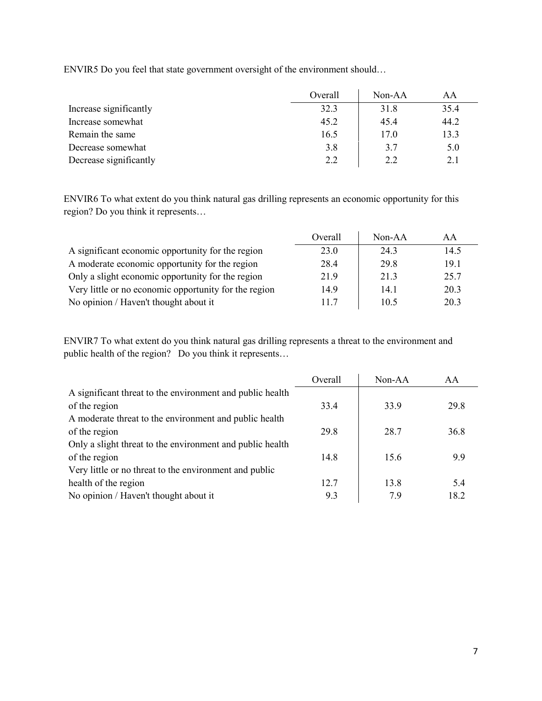ENVIR5 Do you feel that state government oversight of the environment should…

|                        | Overall | $Non-AA$ | AA   |
|------------------------|---------|----------|------|
| Increase significantly | 32.3    | 31.8     | 35.4 |
| Increase somewhat      | 45.2    | 45.4     | 44.2 |
| Remain the same        | 16.5    | 17.0     | 13.3 |
| Decrease somewhat      | 3.8     | 3.7      | 5.0  |
| Decrease significantly | 2.2     | 2.2      | 2.1  |

ENVIR6 To what extent do you think natural gas drilling represents an economic opportunity for this region? Do you think it represents…

|                                                       | Overall | $Non-AA$ | AА   |
|-------------------------------------------------------|---------|----------|------|
| A significant economic opportunity for the region     | 23.0    | 24.3     | 14.5 |
| A moderate economic opportunity for the region        | 28.4    | 29.8     | 19.1 |
| Only a slight economic opportunity for the region     | 21.9    | 21.3     | 25.7 |
| Very little or no economic opportunity for the region | 14.9    | 14.1     | 20.3 |
| No opinion / Haven't thought about it                 | 11.7    | 10.5     | 20.3 |

ENVIR7 To what extent do you think natural gas drilling represents a threat to the environment and public health of the region? Do you think it represents…

| Overall | Non-AA | AA   |
|---------|--------|------|
|         |        |      |
| 33.4    | 33.9   | 29.8 |
|         |        |      |
| 29.8    | 28.7   | 36.8 |
|         |        |      |
| 14.8    | 15.6   | 9.9  |
|         |        |      |
| 12.7    | 13.8   | 5.4  |
| 9.3     | 7.9    | 18.2 |
|         |        |      |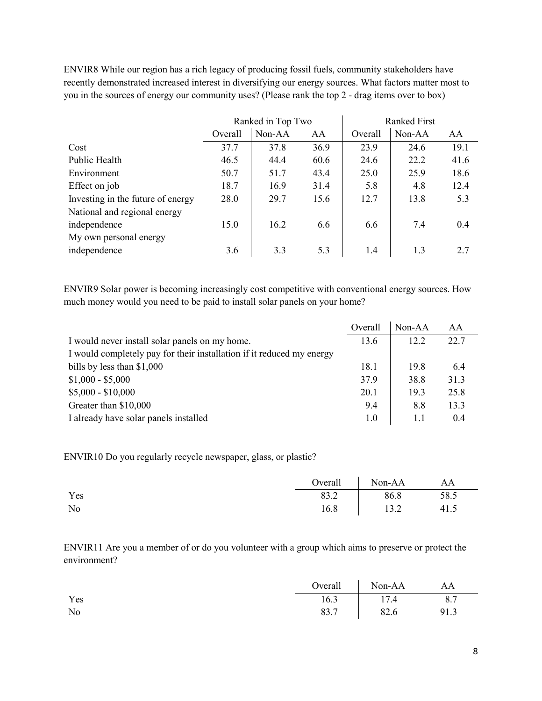ENVIR8 While our region has a rich legacy of producing fossil fuels, community stakeholders have recently demonstrated increased interest in diversifying our energy sources. What factors matter most to you in the sources of energy our community uses? (Please rank the top 2 - drag items over to box)

|                                   |         | Ranked in Top Two |      | <b>Ranked First</b> |        |      |
|-----------------------------------|---------|-------------------|------|---------------------|--------|------|
|                                   | Overall | Non-AA            | AA   | Overall             | Non-AA | AA   |
| Cost                              | 37.7    | 37.8              | 36.9 | 23.9                | 24.6   | 19.1 |
| Public Health                     | 46.5    | 44.4              | 60.6 | 24.6                | 22.2   | 41.6 |
| Environment                       | 50.7    | 51.7              | 43.4 | 25.0                | 25.9   | 18.6 |
| Effect on job                     | 18.7    | 16.9              | 31.4 | 5.8                 | 4.8    | 12.4 |
| Investing in the future of energy | 28.0    | 29.7              | 15.6 | 12.7                | 13.8   | 5.3  |
| National and regional energy      |         |                   |      |                     |        |      |
| independence                      | 15.0    | 16.2              | 6.6  | 6.6                 | 7.4    | 0.4  |
| My own personal energy            |         |                   |      |                     |        |      |
| independence                      | 3.6     | 3.3               | 5.3  | 1.4                 | 1.3    | 2.7  |

ENVIR9 Solar power is becoming increasingly cost competitive with conventional energy sources. How much money would you need to be paid to install solar panels on your home?

|                                                                       | Overall | $Non-AA$ | AA   |
|-----------------------------------------------------------------------|---------|----------|------|
| I would never install solar panels on my home.                        | 13.6    | 12.2     | 22.7 |
| I would completely pay for their installation if it reduced my energy |         |          |      |
| bills by less than $$1,000$                                           | 18.1    | 19.8     | 6.4  |
| $$1,000 - $5,000$                                                     | 37.9    | 38.8     | 31.3 |
| $$5,000 - $10,000$                                                    | 20.1    | 19.3     | 25.8 |
| Greater than \$10,000                                                 | 9.4     | 8.8      | 13.3 |
| I already have solar panels installed                                 | 1.0     | 1.1      | 0.4  |

ENVIR10 Do you regularly recycle newspaper, glass, or plastic?

|     | $Overal$ | Non-AA | AA   |
|-----|----------|--------|------|
| Yes | 83.2     | 86.8   | 58.5 |
| No  | 16.8     | 13.2   | 41.5 |

ENVIR11 Are you a member of or do you volunteer with a group which aims to preserve or protect the environment?

|     |      | Overall Non-AA AA |      |
|-----|------|-------------------|------|
| Yes | 16.3 | 17.4              | 8.7  |
| No  |      | 83.7   82.6       | 91.3 |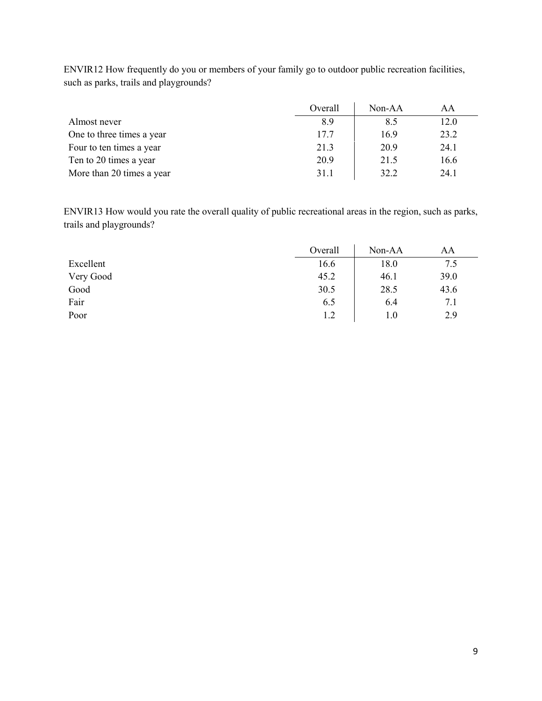|                           | Overall | $Non-AA$ | AA   |
|---------------------------|---------|----------|------|
| Almost never              | 8.9     | 8.5      | 12.0 |
| One to three times a year | 17.7    | 16.9     | 23.2 |
| Four to ten times a year  | 21.3    | 20.9     | 24.1 |
| Ten to 20 times a year    | 20.9    | 21.5     | 16.6 |
| More than 20 times a year | 31.1    | 32.2     | 24.1 |

ENVIR12 How frequently do you or members of your family go to outdoor public recreation facilities, such as parks, trails and playgrounds?

ENVIR13 How would you rate the overall quality of public recreational areas in the region, such as parks, trails and playgrounds?

|           | Overall | Non-AA | AA   |
|-----------|---------|--------|------|
| Excellent | 16.6    | 18.0   | 7.5  |
| Very Good | 45.2    | 46.1   | 39.0 |
| Good      | 30.5    | 28.5   | 43.6 |
| Fair      | 6.5     | 6.4    | 7.1  |
| Poor      | 1.2     | 1.0    | 2.9  |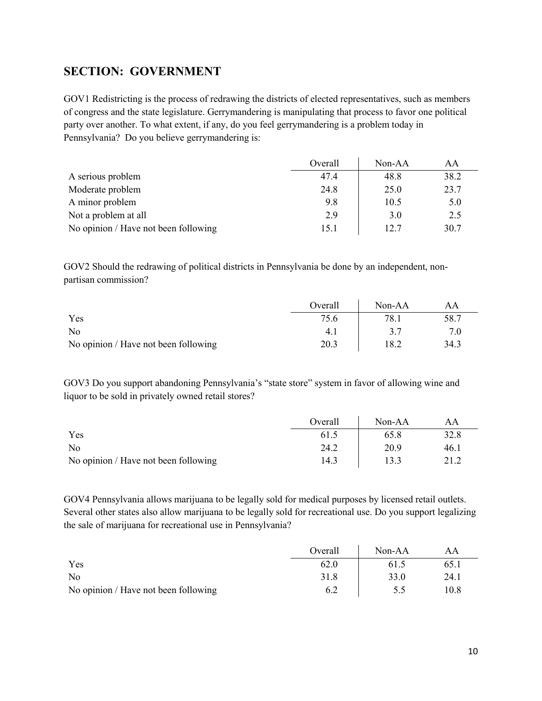## <span id="page-9-0"></span>**SECTION: GOVERNMENT**

GOV1 Redistricting is the process of redrawing the districts of elected representatives, such as members of congress and the state legislature. Gerrymandering is manipulating that process to favor one political party over another. To what extent, if any, do you feel gerrymandering is a problem today in Pennsylvania? Do you believe gerrymandering is:

|                                      | Overall | Non-AA | AA   |
|--------------------------------------|---------|--------|------|
| A serious problem                    | 47.4    | 48.8   | 38.2 |
| Moderate problem                     | 24.8    | 25.0   | 23.7 |
| A minor problem                      | 9.8     | 10.5   | 5.0  |
| Not a problem at all                 | 2.9     | 3.0    | 2.5  |
| No opinion / Have not been following | 15.1    | 12.7   | 30.7 |

GOV2 Should the redrawing of political districts in Pennsylvania be done by an independent, nonpartisan commission?

|                                      | Overall | $Non-AA$ | AΑ   |
|--------------------------------------|---------|----------|------|
| Yes                                  | 75.6    | 78.1     | 58.7 |
| No                                   | 4.1     |          |      |
| No opinion / Have not been following | 20.3    | 18.2     | 34.3 |

GOV3 Do you support abandoning Pennsylvania's "state store" system in favor of allowing wine and liquor to be sold in privately owned retail stores?

|                                      | Overall | Non-AA | AΑ   |
|--------------------------------------|---------|--------|------|
| Yes                                  | 61.5    | 65.8   | 32.8 |
| No                                   | 24.2    | 20.9   | 46.1 |
| No opinion / Have not been following | 14.3    | 13.3   | 21.2 |

GOV4 Pennsylvania allows marijuana to be legally sold for medical purposes by licensed retail outlets. Several other states also allow marijuana to be legally sold for recreational use. Do you support legalizing the sale of marijuana for recreational use in Pennsylvania?

|                                      | Overall | Non-AA | AA   |
|--------------------------------------|---------|--------|------|
| Yes                                  | 62.0    | 61.5   | 65.1 |
| No                                   | 31.8    | 33.0   | 24.1 |
| No opinion / Have not been following | 6.2     | 5.5    | 10.8 |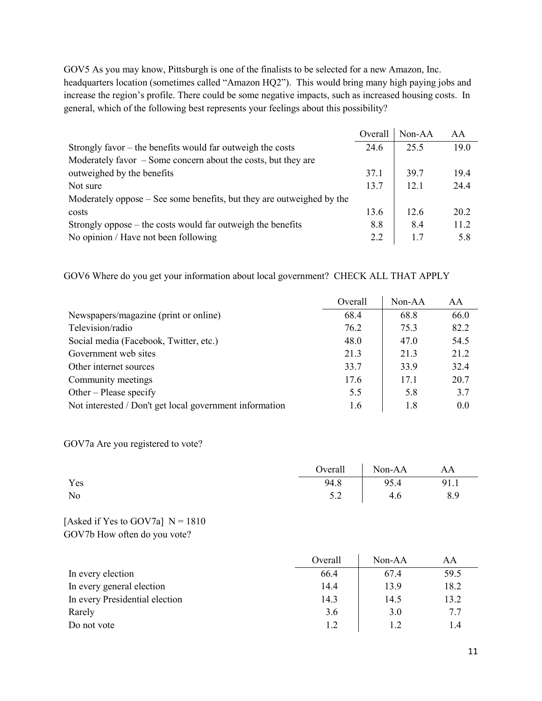GOV5 As you may know, Pittsburgh is one of the finalists to be selected for a new Amazon, Inc. headquarters location (sometimes called "Amazon HQ2"). This would bring many high paying jobs and increase the region's profile. There could be some negative impacts, such as increased housing costs. In general, which of the following best represents your feelings about this possibility?

|                                                                       | Overall | Non-AA | AA   |
|-----------------------------------------------------------------------|---------|--------|------|
| Strongly favor – the benefits would far outweigh the costs            | 24.6    | 25.5   | 19.0 |
| Moderately favor $-$ Some concern about the costs, but they are       |         |        |      |
| outweighed by the benefits                                            | 37.1    | 39.7   | 19.4 |
| Not sure                                                              | 13.7    | 12.1   | 24.4 |
| Moderately oppose – See some benefits, but they are outweighed by the |         |        |      |
| costs                                                                 | 13.6    | 12.6   | 20.2 |
| Strongly oppose $-$ the costs would far outweigh the benefits         | 8.8     | 8.4    | 11.2 |
| No opinion / Have not been following                                  | 2.2     | 1.7    | 5.8  |

GOV6 Where do you get your information about local government? CHECK ALL THAT APPLY

|                                                         | Overall | $Non-AA$ | AA   |
|---------------------------------------------------------|---------|----------|------|
| Newspapers/magazine (print or online)                   | 68.4    | 68.8     | 66.0 |
| Television/radio                                        | 76.2    | 75.3     | 82.2 |
| Social media (Facebook, Twitter, etc.)                  | 48.0    | 47.0     | 54.5 |
| Government web sites                                    | 21.3    | 21.3     | 21.2 |
| Other internet sources                                  | 33.7    | 33.9     | 32.4 |
| Community meetings                                      | 17.6    | 17.1     | 20.7 |
| Other – Please specify                                  | 5.5     | 5.8      | 3.7  |
| Not interested / Don't get local government information | 1.6     | 1.8      | 0.0  |

GOV7a Are you registered to vote?

|     | Overall Non-AA AA |      |
|-----|-------------------|------|
| Yes | 94.8   95.4       | 91.1 |
| No  | $5.2$ 4.6         | 8.9  |

#### [Asked if Yes to GOV7a]  $N = 1810$ GOV7b How often do you vote?

|                                | Overall | $Non-AA$ | AA   |
|--------------------------------|---------|----------|------|
| In every election              | 66.4    | 67.4     | 59.5 |
| In every general election      | 14.4    | 13.9     | 18.2 |
| In every Presidential election | 14.3    | 14.5     | 13.2 |
| Rarely                         | 3.6     | 3.0      | 7.7  |
| Do not vote                    | 1.2     | 1.2      | 1.4  |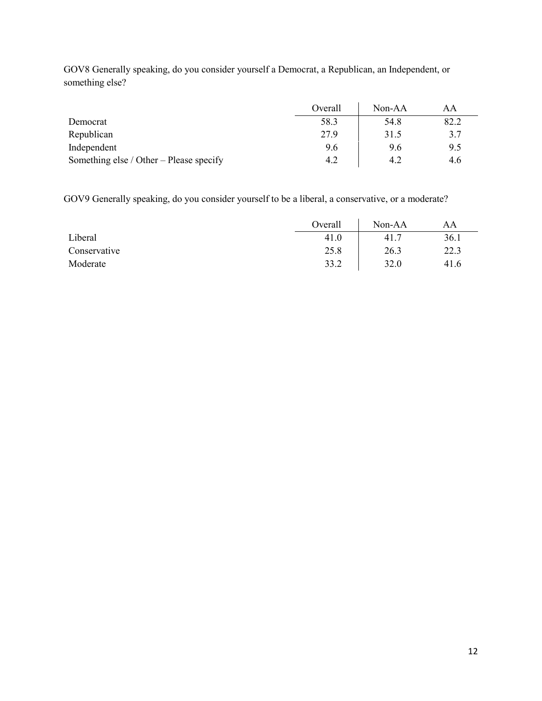|                                         | Overall | $Non-AA$ | AA   |
|-----------------------------------------|---------|----------|------|
| Democrat                                | 58.3    | 54.8     | 82.2 |
| Republican                              | 27.9    | 31.5     | 3.7  |
| Independent                             | 9.6     | 9.6      | 9.5  |
| Something else / Other – Please specify | 4.2     | 4.2      | 4.6  |

GOV8 Generally speaking, do you consider yourself a Democrat, a Republican, an Independent, or something else?

GOV9 Generally speaking, do you consider yourself to be a liberal, a conservative, or a moderate?

|              | Overall | Non-AA | AA   |
|--------------|---------|--------|------|
| Liberal      | 41.0    | 41.7   | 36.1 |
| Conservative | 25.8    | 26.3   | 22.3 |
| Moderate     | 33.2    | 32.0   | 41.6 |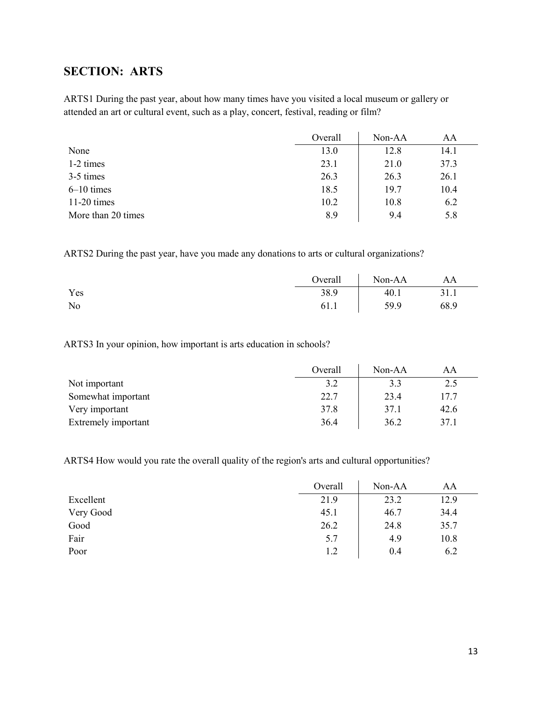## <span id="page-12-0"></span>**SECTION: ARTS**

ARTS1 During the past year, about how many times have you visited a local museum or gallery or attended an art or cultural event, such as a play, concert, festival, reading or film?

|                    | Overall | Non-AA | AA   |
|--------------------|---------|--------|------|
| None               | 13.0    | 12.8   | 14.1 |
| 1-2 times          | 23.1    | 21.0   | 37.3 |
| 3-5 times          | 26.3    | 26.3   | 26.1 |
| $6-10$ times       | 18.5    | 19.7   | 10.4 |
| $11-20$ times      | 10.2    | 10.8   | 6.2  |
| More than 20 times | 8.9     | 9.4    | 5.8  |

ARTS2 During the past year, have you made any donations to arts or cultural organizations?

|     | Overall | Non-AA | AA   |
|-----|---------|--------|------|
| Yes | 38.9    | 40.1   | 31.1 |
| No  | 61.1    | 59.9   | 68.9 |

ARTS3 In your opinion, how important is arts education in schools?

|                     | Overall | $Non-AA$ | AA   |
|---------------------|---------|----------|------|
| Not important       | 3.2     | 3.3      | 2.5  |
| Somewhat important  | 22.7    | 23.4     | 17.7 |
| Very important      | 37.8    | 37.1     | 42.6 |
| Extremely important | 36.4    | 36.2     | 37.1 |

ARTS4 How would you rate the overall quality of the region's arts and cultural opportunities?

|           | Overall | Non-AA | AA   |
|-----------|---------|--------|------|
| Excellent | 21.9    | 23.2   | 12.9 |
| Very Good | 45.1    | 46.7   | 34.4 |
| Good      | 26.2    | 24.8   | 35.7 |
| Fair      | 5.7     | 4.9    | 10.8 |
| Poor      | 1.2     | 0.4    | 6.2  |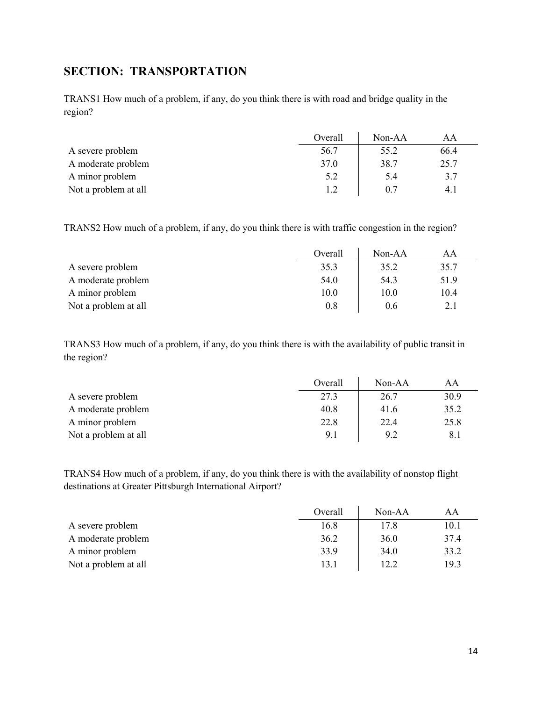## <span id="page-13-0"></span>**SECTION: TRANSPORTATION**

TRANS1 How much of a problem, if any, do you think there is with road and bridge quality in the region?

|                      | Overall | $Non-AA$ |      |
|----------------------|---------|----------|------|
| A severe problem     | 56.7    | 55.2     | 66.4 |
| A moderate problem   | 37.0    | 38.7     | 25.7 |
| A minor problem      | 5.2     | 5.4      | 3.7  |
| Not a problem at all |         | 0.7      | 4.1  |

TRANS2 How much of a problem, if any, do you think there is with traffic congestion in the region?

|                      | Overall | $Non-AA$ | AΑ   |
|----------------------|---------|----------|------|
| A severe problem     | 35.3    | 35.2     | 35.7 |
| A moderate problem   | 54.0    | 54.3     | 51.9 |
| A minor problem      | 10.0    | 10.0     | 10.4 |
| Not a problem at all | 0.8     | 0.6      | 2.1  |

TRANS3 How much of a problem, if any, do you think there is with the availability of public transit in the region?

|                      | Overall | $Non-AA$ | AA   |
|----------------------|---------|----------|------|
| A severe problem     | 27.3    | 26.7     | 30.9 |
| A moderate problem   | 40.8    | 41.6     | 35.2 |
| A minor problem      | 22.8    | 22.4     | 25.8 |
| Not a problem at all | 9.1     | 9.2      | 8.1  |

TRANS4 How much of a problem, if any, do you think there is with the availability of nonstop flight destinations at Greater Pittsburgh International Airport?

|                      | Overall | Non-AA | AA   |
|----------------------|---------|--------|------|
| A severe problem     | 16.8    | 17.8   | 10.1 |
| A moderate problem   | 36.2    | 36.0   | 37.4 |
| A minor problem      | 33.9    | 34.0   | 33.2 |
| Not a problem at all | 13.1    | 12.2   | 19.3 |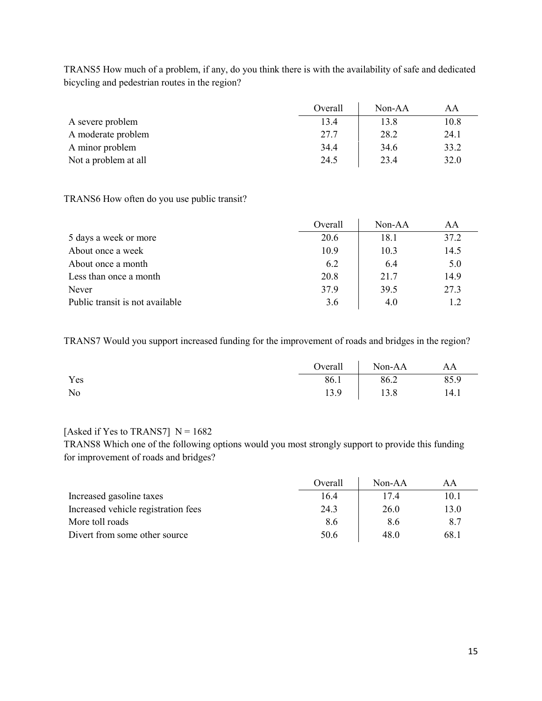TRANS5 How much of a problem, if any, do you think there is with the availability of safe and dedicated bicycling and pedestrian routes in the region?

|                      | Overall | $Non-AA$ | AΑ   |
|----------------------|---------|----------|------|
| A severe problem     | 13.4    | 13.8     | 10.8 |
| A moderate problem   | 27.7    | 28.2     | 24.1 |
| A minor problem      | 34.4    | 34.6     | 33.2 |
| Not a problem at all | 24.5    | 23.4     | 32.0 |

#### TRANS6 How often do you use public transit?

|                                 | Overall | $Non-AA$ | AA   |
|---------------------------------|---------|----------|------|
| 5 days a week or more           | 20.6    | 18.1     | 37.2 |
| About once a week               | 10.9    | 10.3     | 14.5 |
| About once a month              | 6.2     | 6.4      | 5.0  |
| Less than once a month          | 20.8    | 21.7     | 14.9 |
| Never                           | 37.9    | 39.5     | 27.3 |
| Public transit is not available | 3.6     | 4.0      | 12   |

TRANS7 Would you support increased funding for the improvement of roads and bridges in the region?

|     | Overall | Non-AA | AA   |
|-----|---------|--------|------|
| Yes | 86.1    | 86.2   | 85.9 |
| No  | 13.9    | 13.8   | 14.1 |

### [Asked if Yes to TRANS7]  $N = 1682$

TRANS8 Which one of the following options would you most strongly support to provide this funding for improvement of roads and bridges?

|                                     | Overall | $Non-AA$ | ΑA   |
|-------------------------------------|---------|----------|------|
| Increased gasoline taxes            | 16.4    | 17.4     | 10.1 |
| Increased vehicle registration fees | 24.3    | 26.0     | 13.0 |
| More toll roads                     | 8.6     | 8.6      | 8.7  |
| Divert from some other source       | 50.6    | 48.0     | 68.1 |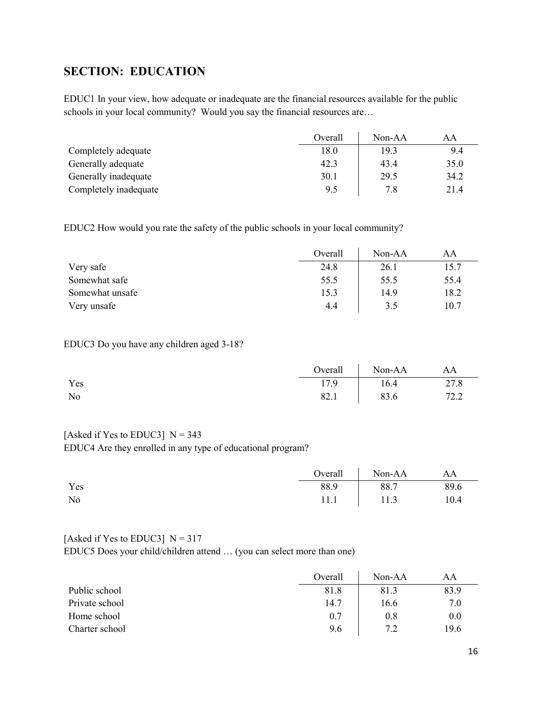## <span id="page-15-0"></span>**SECTION: EDUCATION**

EDUC1 In your view, how adequate or inadequate are the financial resources available for the public schools in your local community? Would you say the financial resources are…

|                       | Overall | $Non-AA$ | AA   |
|-----------------------|---------|----------|------|
| Completely adequate   | 18.0    | 19.3     | 9.4  |
| Generally adequate    | 42.3    | 43.4     | 35.0 |
| Generally inadequate  | 30.1    | 29.5     | 34.2 |
| Completely inadequate | 9.5     | 7.8      | 21.4 |

EDUC2 How would you rate the safety of the public schools in your local community?

|                 | Overall | $Non-AA$ | AA   |
|-----------------|---------|----------|------|
| Very safe       | 24.8    | 26.1     | 15.7 |
| Somewhat safe   | 55.5    | 55.5     | 55.4 |
| Somewhat unsafe | 15.3    | 14.9     | 18.2 |
| Very unsafe     | 4.4     | 3.5      | 10.7 |

#### EDUC3 Do you have any children aged 3-18?

|                | Overall | Non-AA | AA   |
|----------------|---------|--------|------|
| Yes            | 17.9    | 16.4   | 27.8 |
| N <sub>o</sub> | 82.1    | 83.6   | 72.2 |

### [Asked if Yes to EDUC3]  $N = 343$

EDUC4 Are they enrolled in any type of educational program?

|     |      | Overall Non-AA | AA   |
|-----|------|----------------|------|
| Yes | 88.9 | 88.7           | 89.6 |
| No  |      | $11.1$   11.3  | 10.4 |

#### [Asked if Yes to EDUC3]  $N = 317$

EDUC5 Does your child/children attend … (you can select more than one)

|                | Overall | $Non-AA$ | AA   |
|----------------|---------|----------|------|
| Public school  | 81.8    | 81.3     | 83.9 |
| Private school | 14.7    | 16.6     | 7.0  |
| Home school    | 0.7     | 0.8      | 0.0  |
| Charter school | 9.6     | 72       | 19.6 |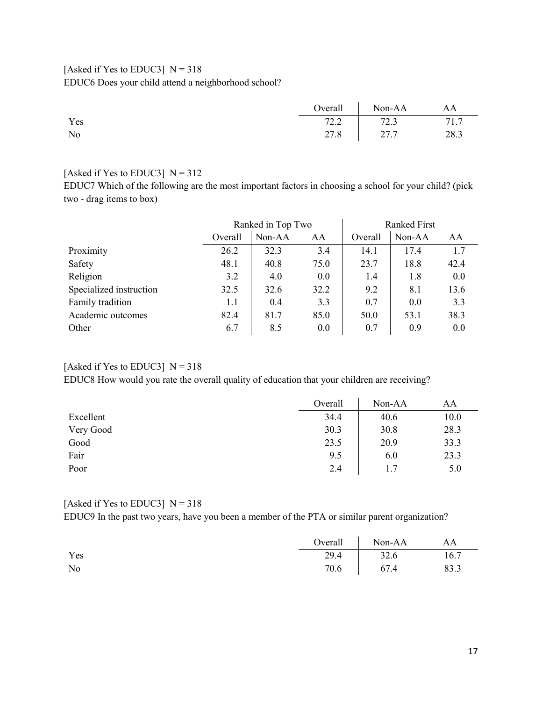### [Asked if Yes to EDUC3]  $N = 318$ EDUC6 Does your child attend a neighborhood school?

|                |      | Overall Non-AA | AA   |
|----------------|------|----------------|------|
| Yes            | 72.2 | 72.3           | 71.7 |
| N <sub>o</sub> |      | 27.8 27.7      | 28.3 |

#### [Asked if Yes to EDUC3]  $N = 312$

EDUC7 Which of the following are the most important factors in choosing a school for your child? (pick two - drag items to box)

|                         | Ranked in Top Two |        | <b>Ranked First</b> |         |        |      |
|-------------------------|-------------------|--------|---------------------|---------|--------|------|
|                         | Overall           | Non-AA | AA                  | Overall | Non-AA | AA   |
| Proximity               | 26.2              | 32.3   | 3.4                 | 14.1    | 17.4   | 1.7  |
| Safety                  | 48.1              | 40.8   | 75.0                | 23.7    | 18.8   | 42.4 |
| Religion                | 3.2               | 4.0    | 0.0                 | 1.4     | 1.8    | 0.0  |
| Specialized instruction | 32.5              | 32.6   | 32.2                | 9.2     | 8.1    | 13.6 |
| Family tradition        | 1.1               | 0.4    | 3.3                 | 0.7     | 0.0    | 3.3  |
| Academic outcomes       | 82.4              | 81.7   | 85.0                | 50.0    | 53.1   | 38.3 |
| Other                   | 6.7               | 8.5    | 0.0                 | 0.7     | 0.9    | 0.0  |

## [Asked if Yes to EDUC3]  $N = 318$

EDUC8 How would you rate the overall quality of education that your children are receiving?

|           | Overall | Non-AA | AA   |
|-----------|---------|--------|------|
| Excellent | 34.4    | 40.6   | 10.0 |
| Very Good | 30.3    | 30.8   | 28.3 |
| Good      | 23.5    | 20.9   | 33.3 |
| Fair      | 9.5     | 6.0    | 23.3 |
| Poor      | 2.4     | 1.7    | 5.0  |

### [Asked if Yes to EDUC3]  $N = 318$

EDUC9 In the past two years, have you been a member of the PTA or similar parent organization?

|     | Overall Non-AA AA |      |
|-----|-------------------|------|
| Yes | 29.4 32.6         | 16.7 |
| No  | 70.6 67.4         | 83.3 |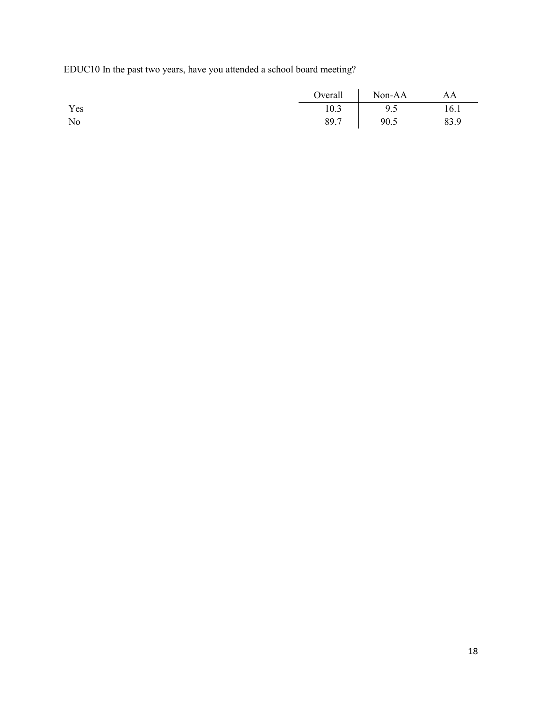EDUC10 In the past two years, have you attended a school board meeting?

|     |      | Overall Non-AA | AA   |
|-----|------|----------------|------|
| Yes | 10.3 | 9.5            | 16.1 |
| No  | 89.7 | 90.5           | 83.9 |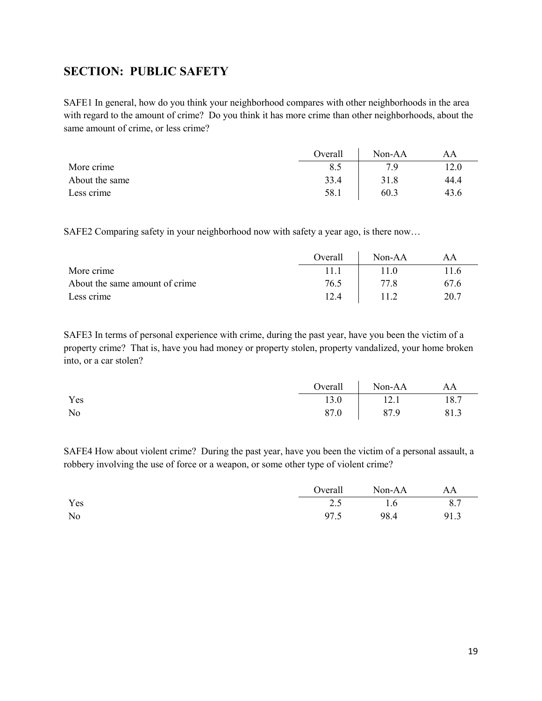## <span id="page-18-0"></span>**SECTION: PUBLIC SAFETY**

SAFE1 In general, how do you think your neighborhood compares with other neighborhoods in the area with regard to the amount of crime? Do you think it has more crime than other neighborhoods, about the same amount of crime, or less crime?

|                | Overall | Non-AA | ΑA   |
|----------------|---------|--------|------|
| More crime     | 8.5     | 7 Q    | 12.0 |
| About the same | 33.4    | 31.8   | 44.4 |
| Less crime     | 58.1    | 60.3   | 43.6 |

SAFE2 Comparing safety in your neighborhood now with safety a year ago, is there now…

|                                | Overall | $Non-AA$ | AΑ   |
|--------------------------------|---------|----------|------|
| More crime                     |         | 11 O     | 11.6 |
| About the same amount of crime | 76.5    | 77 R     | 67.6 |
| Less crime                     | 12.4    |          | 20.7 |

SAFE3 In terms of personal experience with crime, during the past year, have you been the victim of a property crime? That is, have you had money or property stolen, property vandalized, your home broken into, or a car stolen?

|     | $Overall$ | Non-AA | AA   |
|-----|-----------|--------|------|
| Yes | 13.0      | 12.1   | 18.7 |
| No  | 87.0      | 87.9   | 81.3 |

SAFE4 How about violent crime? During the past year, have you been the victim of a personal assault, a robbery involving the use of force or a weapon, or some other type of violent crime?

|                | Overall | Non-AA | AA   |
|----------------|---------|--------|------|
| Yes            | 2.5     | 1.6    | 8.7  |
| N <sub>o</sub> | 97.5    | 98.4   | 91.3 |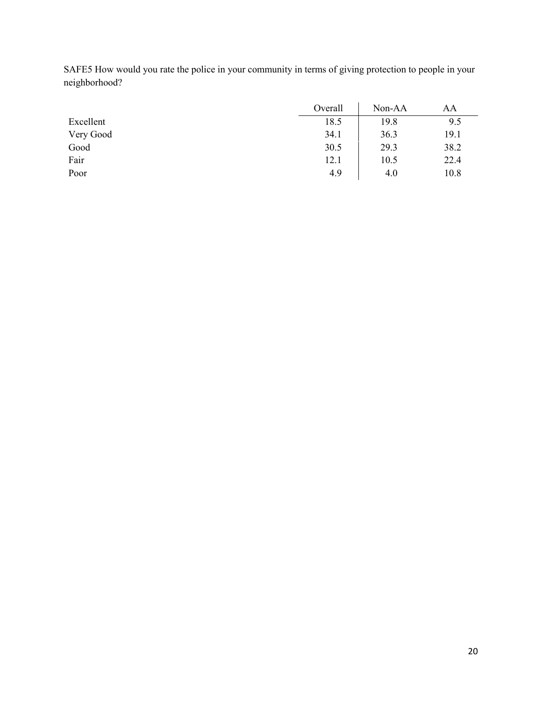| SAFE5 How would you rate the police in your community in terms of giving protection to people in your |                               |  |
|-------------------------------------------------------------------------------------------------------|-------------------------------|--|
| neighborhood?                                                                                         |                               |  |
|                                                                                                       | $O(1)$ $N_{\alpha}$ $\Lambda$ |  |

|           | Overall | Non-AA | AΑ   |
|-----------|---------|--------|------|
| Excellent | 18.5    | 19.8   | 9.5  |
| Very Good | 34.1    | 36.3   | 19.1 |
| Good      | 30.5    | 29.3   | 38.2 |
| Fair      | 12.1    | 10.5   | 22.4 |
| Poor      | 4.9     | 4.0    | 10.8 |
|           |         |        |      |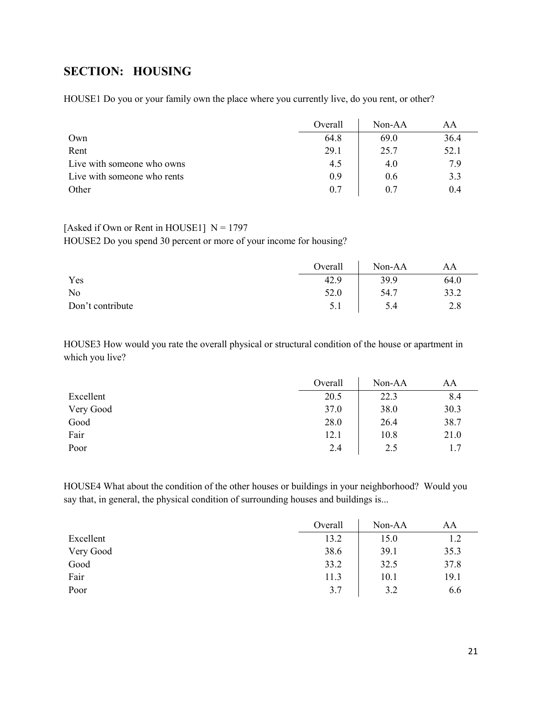## <span id="page-20-0"></span>**SECTION: HOUSING**

HOUSE1 Do you or your family own the place where you currently live, do you rent, or other?

|                             | Overall | $Non-AA$ | AΑ   |
|-----------------------------|---------|----------|------|
| Own                         | 64.8    | 69.0     | 36.4 |
| Rent                        | 29.1    | 25.7     | 52.1 |
| Live with someone who owns  | 4.5     | 4.0      | 7.9  |
| Live with someone who rents | 0.9     | 0.6      | 3.3  |
| Other                       | 0.7     | 0.7      | 0.4  |

#### [Asked if Own or Rent in HOUSE1]  $N = 1797$

HOUSE2 Do you spend 30 percent or more of your income for housing?

|                  | Overall | Non-AA | AA   |
|------------------|---------|--------|------|
| Yes              | 42.9    | 39.9   | 64.0 |
| No               | 52.0    | 54.7   | 33.2 |
| Don't contribute | 5.1     | 5.4    | 2.8  |

HOUSE3 How would you rate the overall physical or structural condition of the house or apartment in which you live?

|           | Overall | Non-AA | AA   |
|-----------|---------|--------|------|
| Excellent | 20.5    | 22.3   | 8.4  |
| Very Good | 37.0    | 38.0   | 30.3 |
| Good      | 28.0    | 26.4   | 38.7 |
| Fair      | 12.1    | 10.8   | 21.0 |
| Poor      | 2.4     | 2.5    | 1.7  |

HOUSE4 What about the condition of the other houses or buildings in your neighborhood? Would you say that, in general, the physical condition of surrounding houses and buildings is...

|           | Overall | Non-AA | AA   |
|-----------|---------|--------|------|
| Excellent | 13.2    | 15.0   | 1.2  |
| Very Good | 38.6    | 39.1   | 35.3 |
| Good      | 33.2    | 32.5   | 37.8 |
| Fair      | 11.3    | 10.1   | 19.1 |
| Poor      | 3.7     | 3.2    | 6.6  |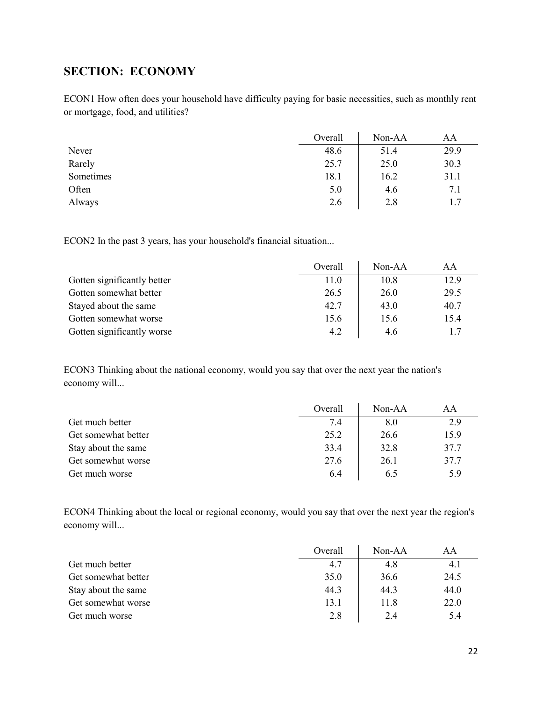## <span id="page-21-0"></span>**SECTION: ECONOMY**

ECON1 How often does your household have difficulty paying for basic necessities, such as monthly rent or mortgage, food, and utilities?

|           | Overall | Non-AA | AA   |
|-----------|---------|--------|------|
| Never     | 48.6    | 51.4   | 29.9 |
| Rarely    | 25.7    | 25.0   | 30.3 |
| Sometimes | 18.1    | 16.2   | 31.1 |
| Often     | 5.0     | 4.6    | 7.1  |
| Always    | 2.6     | 2.8    | 1.7  |

ECON2 In the past 3 years, has your household's financial situation...

|                             | Overall | $Non-AA$ | AA   |
|-----------------------------|---------|----------|------|
| Gotten significantly better | 11.0    | 10.8     | 12.9 |
| Gotten somewhat better      | 26.5    | 26.0     | 29.5 |
| Stayed about the same       | 42.7    | 43.0     | 40.7 |
| Gotten somewhat worse       | 15.6    | 15.6     | 15.4 |
| Gotten significantly worse  | 4.2     | 4.6      | 1.7  |

ECON3 Thinking about the national economy, would you say that over the next year the nation's economy will...

|                     | Overall | $Non-AA$ | AA   |
|---------------------|---------|----------|------|
| Get much better     | 7.4     | 8.0      | 2.9  |
| Get somewhat better | 25.2    | 26.6     | 15.9 |
| Stay about the same | 33.4    | 32.8     | 37.7 |
| Get somewhat worse  | 27.6    | 26.1     | 37.7 |
| Get much worse      | 6.4     | 6.5      | 5.9  |

ECON4 Thinking about the local or regional economy, would you say that over the next year the region's economy will...

|                     | Overall | $Non-AA$ | AA   |
|---------------------|---------|----------|------|
| Get much better     | 4.7     | 4.8      | 4.1  |
| Get somewhat better | 35.0    | 36.6     | 24.5 |
| Stay about the same | 44.3    | 44.3     | 44.0 |
| Get somewhat worse  | 13.1    | 11.8     | 22.0 |
| Get much worse      | 2.8     | 2.4      | 5.4  |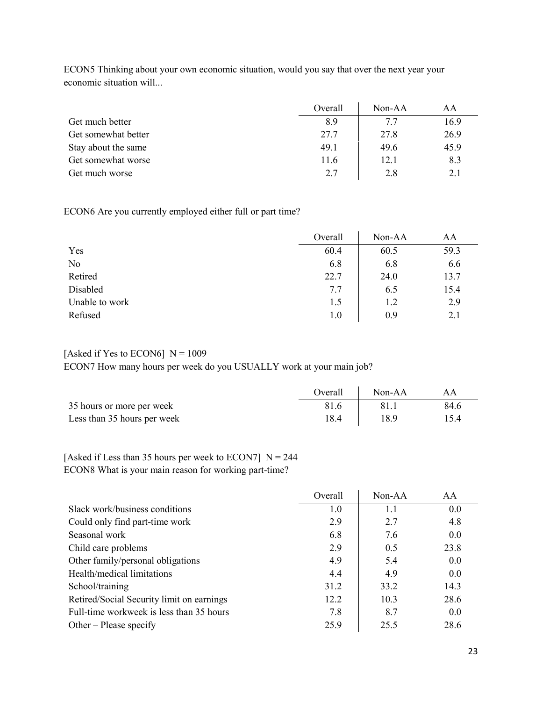|                     | Overall | $Non-AA$ | AA   |
|---------------------|---------|----------|------|
| Get much better     | 8.9     | 7.7      | 16.9 |
| Get somewhat better | 27.7    | 27.8     | 26.9 |
| Stay about the same | 49.1    | 49.6     | 45.9 |
| Get somewhat worse  | 11.6    | 12.1     | 8.3  |
| Get much worse      | 2.7     | 2.8      | 2.1  |

ECON5 Thinking about your own economic situation, would you say that over the next year your economic situation will...

ECON6 Are you currently employed either full or part time?

|                | Overall | Non-AA | AA   |
|----------------|---------|--------|------|
| Yes            | 60.4    | 60.5   | 59.3 |
| No             | 6.8     | 6.8    | 6.6  |
| Retired        | 22.7    | 24.0   | 13.7 |
| Disabled       | 7.7     | 6.5    | 15.4 |
| Unable to work | 1.5     | 1.2    | 2.9  |
| Refused        | 1.0     | 0.9    | 2.1  |

### [Asked if Yes to ECON6]  $N = 1009$ ECON7 How many hours per week do you USUALLY work at your main job?

|                             | Overall | $Non-AA$ | AΑ   |
|-----------------------------|---------|----------|------|
| 35 hours or more per week   |         |          | 84.6 |
| Less than 35 hours per week | 18.4    | 18.9     | 15.4 |

### [Asked if Less than 35 hours per week to ECON7]  $N = 244$ ECON8 What is your main reason for working part-time?

|                                           | Overall | Non-AA | AA   |
|-------------------------------------------|---------|--------|------|
| Slack work/business conditions            | 1.0     | 1.1    | 0.0  |
| Could only find part-time work            | 2.9     | 2.7    | 4.8  |
| Seasonal work                             | 6.8     | 7.6    | 0.0  |
| Child care problems                       | 2.9     | 0.5    | 23.8 |
| Other family/personal obligations         | 4.9     | 5.4    | 0.0  |
| Health/medical limitations                | 4.4     | 4.9    | 0.0  |
| School/training                           | 31.2    | 33.2   | 14.3 |
| Retired/Social Security limit on earnings | 12.2    | 10.3   | 28.6 |
| Full-time workweek is less than 35 hours  | 7.8     | 8.7    | 0.0  |
| Other – Please specify                    | 25.9    | 25.5   | 28.6 |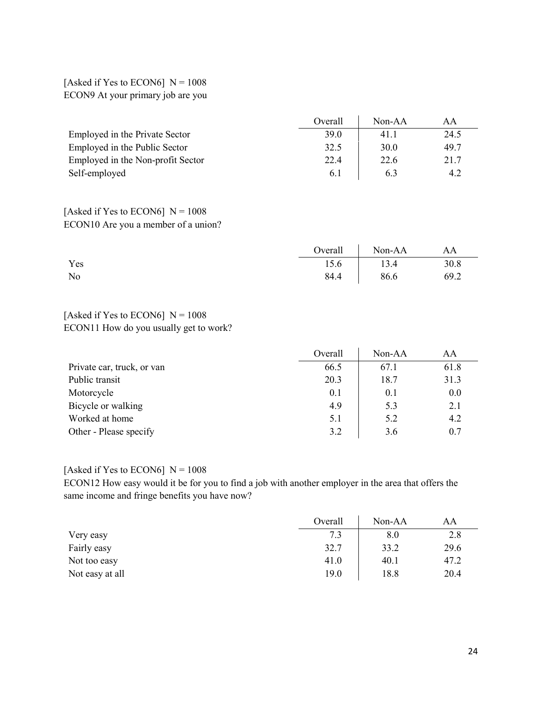[Asked if Yes to ECON6]  $N = 1008$ ECON9 At your primary job are you

|                                   | Overall | $Non-AA$ | AA   |
|-----------------------------------|---------|----------|------|
| Employed in the Private Sector    | 39.0    | 41.1     | 24.5 |
| Employed in the Public Sector     | 32.5    | 30.0     | 49.7 |
| Employed in the Non-profit Sector | 22.4    | 22.6     | 21.7 |
| Self-employed                     | 6.1     | 6.3      | 4.2  |

### [Asked if Yes to ECON6]  $N = 1008$ ECON10 Are you a member of a union?

|     |      | Overall Non-AA | AA   |
|-----|------|----------------|------|
| Yes | 15.6 | 13.4           | 30.8 |
| No  | 84.4 | 86.6           | 69.2 |

#### [Asked if Yes to ECON6]  $N = 1008$ ECON11 How do you usually get to work?

|                            | Overall | $Non-AA$ | AA   |
|----------------------------|---------|----------|------|
| Private car, truck, or van | 66.5    | 67.1     | 61.8 |
| Public transit             | 20.3    | 18.7     | 31.3 |
| Motorcycle                 | 0.1     | 0.1      | 0.0  |
| Bicycle or walking         | 4.9     | 5.3      | 2.1  |
| Worked at home             | 5.1     | 5.2      | 4.2  |
| Other - Please specify     | 3.2     | 3.6      | 0.7  |

## [Asked if Yes to ECON6]  $N = 1008$

ECON12 How easy would it be for you to find a job with another employer in the area that offers the same income and fringe benefits you have now?

|                 | Overall | Non-AA | AA   |
|-----------------|---------|--------|------|
| Very easy       | 7.3     | 8.0    | 2.8  |
| Fairly easy     | 32.7    | 33.2   | 29.6 |
| Not too easy    | 41.0    | 40.1   | 47.2 |
| Not easy at all | 19.0    | 18.8   | 20.4 |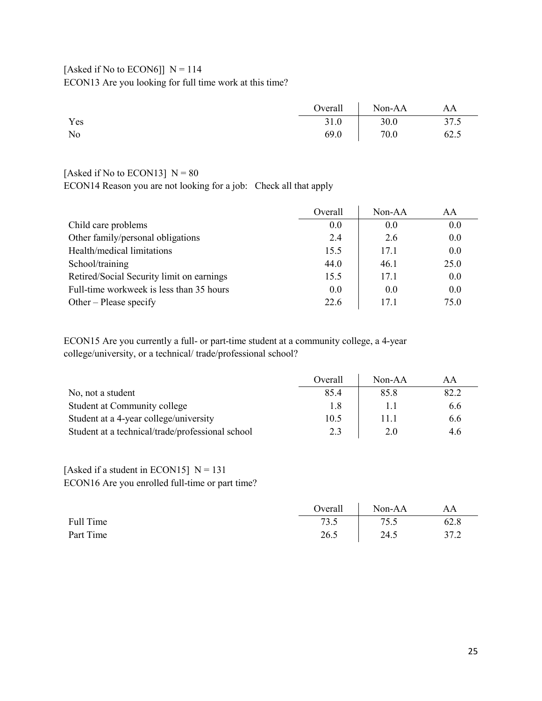## [Asked if No to ECON6]]  $N = 114$ ECON13 Are you looking for full time work at this time?

|     | Overall | $\sqrt{\frac{N_{on} - A}{A}}$ | AA   |
|-----|---------|-------------------------------|------|
| Yes | 31.0    | 30.0                          | 37.5 |
| No  | 69.0    | 70.0                          | 62.5 |

### [Asked if No to ECON13]  $N = 80$

ECON14 Reason you are not looking for a job: Check all that apply

|                                           | Overall | $Non-AA$ | AA   |
|-------------------------------------------|---------|----------|------|
| Child care problems                       | 0.0     | 0.0      | 0.0  |
| Other family/personal obligations         | 2.4     | 2.6      | 0.0  |
| Health/medical limitations                | 15.5    | 17.1     | 0.0  |
| School/training                           | 44.0    | 46.1     | 25.0 |
| Retired/Social Security limit on earnings | 15.5    | 17.1     | 0.0  |
| Full-time workweek is less than 35 hours  | 0.0     | 0.0      | 0.0  |
| Other – Please specify                    | 22.6    | 17.1     | 75.0 |

ECON15 Are you currently a full- or part-time student at a community college, a 4-year college/university, or a technical/ trade/professional school?

|                                                  | Overall | $Non-AA$ | AΑ   |
|--------------------------------------------------|---------|----------|------|
| No, not a student                                | 85.4    | 85.8     | 82.2 |
| Student at Community college                     | 1.8     |          | 6.6  |
| Student at a 4-year college/university           | 10.5    | 11.1     | 6.6  |
| Student at a technical/trade/professional school | 2.3     | 2.0      | 4.6  |

### [Asked if a student in ECON15]  $N = 131$ ECON16 Are you enrolled full-time or part time?

|           | Overall | Non-AA | AA   |
|-----------|---------|--------|------|
| Full Time | 73.5    | 75.5   | 62.8 |
| Part Time | 26.5    | 24.5   | 37.2 |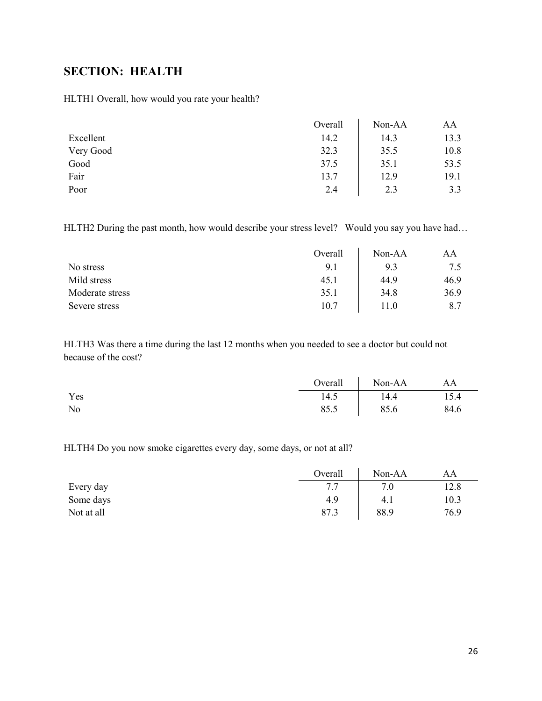## <span id="page-25-0"></span>**SECTION: HEALTH**

HLTH1 Overall, how would you rate your health?

|           | Overall | Non-AA | AA   |
|-----------|---------|--------|------|
| Excellent | 14.2    | 14.3   | 13.3 |
| Very Good | 32.3    | 35.5   | 10.8 |
| Good      | 37.5    | 35.1   | 53.5 |
| Fair      | 13.7    | 12.9   | 19.1 |
| Poor      | 2.4     | 2.3    | 3.3  |

HLTH2 During the past month, how would describe your stress level? Would you say you have had...

|                 | Overall | $Non-AA$ | AΑ   |
|-----------------|---------|----------|------|
| No stress       | 9.1     | 9.3      | 7.5  |
| Mild stress     | 45.1    | 44.9     | 46.9 |
| Moderate stress | 35.1    | 34.8     | 36.9 |
| Severe stress   | 10.7    | 11.0     | 8.7  |

HLTH3 Was there a time during the last 12 months when you needed to see a doctor but could not because of the cost?

|     |      | Overall Non-AA | AA   |
|-----|------|----------------|------|
| Yes | 14.5 | 14.4           | 15.4 |
| No  | 85.5 | 85.6           | 84.6 |

HLTH4 Do you now smoke cigarettes every day, some days, or not at all?

|            | Overall | Non-AA | AΑ   |
|------------|---------|--------|------|
| Every day  | 7.7     | 7.0    | 12.8 |
| Some days  | 4.9     | 4.1    | 10.3 |
| Not at all | 87.3    | 88.9   | 76.9 |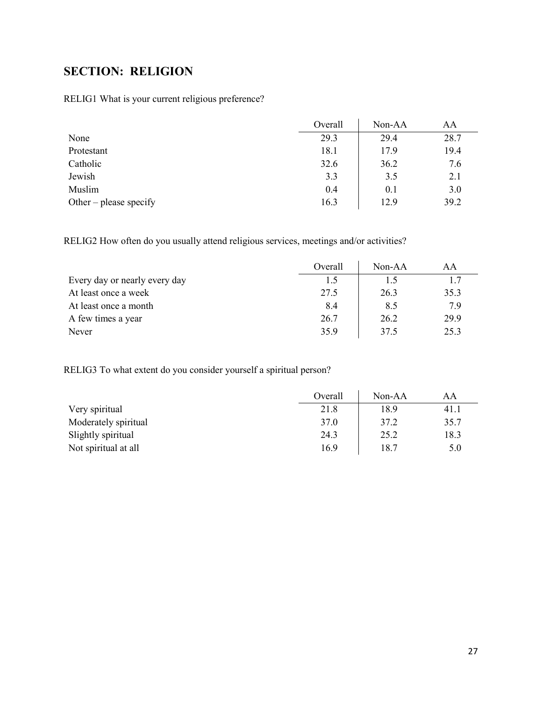# <span id="page-26-0"></span>**SECTION: RELIGION**

RELIG1 What is your current religious preference?

|                        | Overall | Non-AA | AA   |
|------------------------|---------|--------|------|
| None                   | 29.3    | 29.4   | 28.7 |
| Protestant             | 18.1    | 17.9   | 19.4 |
| Catholic               | 32.6    | 36.2   | 7.6  |
| Jewish                 | 3.3     | 3.5    | 2.1  |
| Muslim                 | 0.4     | 0.1    | 3.0  |
| Other – please specify | 16.3    | 12.9   | 39.2 |

RELIG2 How often do you usually attend religious services, meetings and/or activities?

|                               | Overall | $Non-AA$ | AА   |
|-------------------------------|---------|----------|------|
| Every day or nearly every day | 1.5     | 1.5      | 1.7  |
| At least once a week          | 27.5    | 26.3     | 35.3 |
| At least once a month         | 8.4     | 8.5      | 7.9  |
| A few times a year            | 26.7    | 26.2     | 29.9 |
| Never                         | 35.9    | 37.5     | 25.3 |

RELIG3 To what extent do you consider yourself a spiritual person?

|                      | Overall | Non-AA | AA   |
|----------------------|---------|--------|------|
| Very spiritual       | 21.8    | 18.9   | 41.1 |
| Moderately spiritual | 37.0    | 37.2   | 35.7 |
| Slightly spiritual   | 24.3    | 25.2   | 18.3 |
| Not spiritual at all | 16.9    | 18.7   | 5.0  |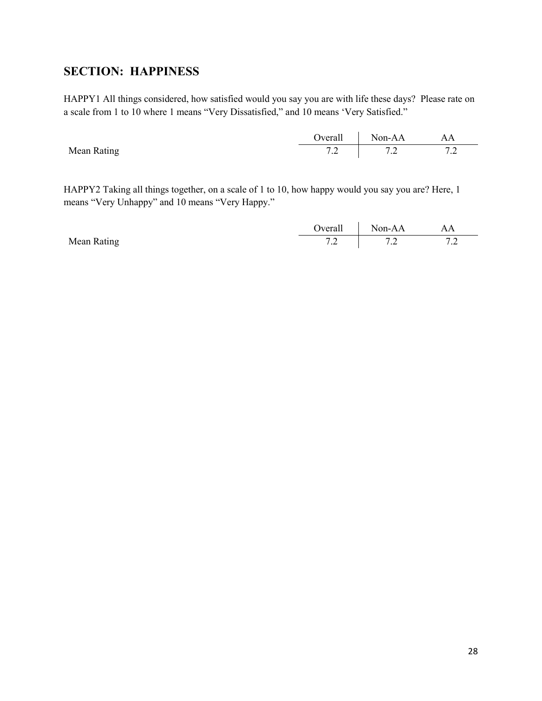## <span id="page-27-0"></span>**SECTION: HAPPINESS**

HAPPY1 All things considered, how satisfied would you say you are with life these days? Please rate on a scale from 1 to 10 where 1 means "Very Dissatisfied," and 10 means 'Very Satisfied."

|             | <b>Dverall</b>            | Non- $\Delta \Delta$ | AA      |
|-------------|---------------------------|----------------------|---------|
|             |                           |                      |         |
| Mean Rating | $\overline{ }$<br>$\cdot$ | $\cdot$              | $\cdot$ |

HAPPY2 Taking all things together, on a scale of 1 to 10, how happy would you say you are? Here, 1 means "Very Unhappy" and 10 means "Very Happy."

|             | )verall                             | Non-AA  | AA<br>--- |
|-------------|-------------------------------------|---------|-----------|
| Mean Rating | $\overline{\phantom{a}}$<br>$\cdot$ | $\cdot$ | $\cdot$   |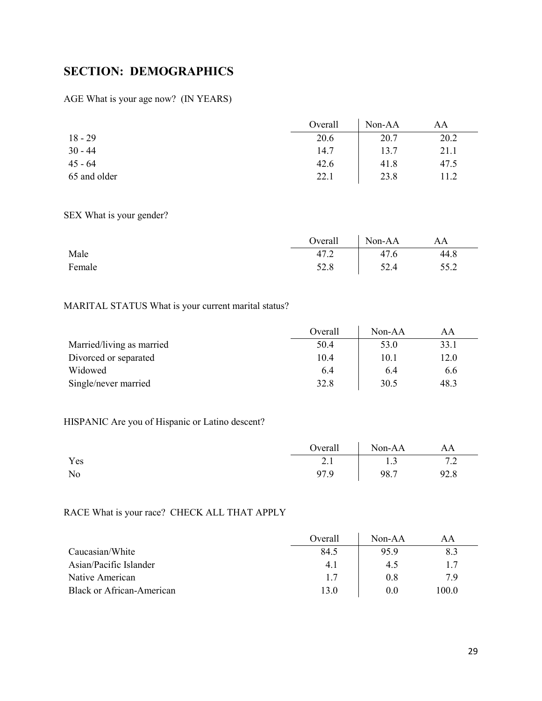# <span id="page-28-0"></span>**SECTION: DEMOGRAPHICS**

### AGE What is your age now? (IN YEARS)

|              | Overall | Non-AA | AA   |
|--------------|---------|--------|------|
| $18 - 29$    | 20.6    | 20.7   | 20.2 |
| $30 - 44$    | 14.7    | 13.7   | 21.1 |
| $45 - 64$    | 42.6    | 41.8   | 47.5 |
| 65 and older | 22.1    | 23.8   | 11.2 |

### SEX What is your gender?

|        | Overall | Non-AA | AA   |
|--------|---------|--------|------|
| Male   | 47.2    | 47.6   | 44.8 |
| Female | 52.8    | 52.4   | 55.2 |

## MARITAL STATUS What is your current marital status?

|                           | Overall | $Non-AA$ | ΑA   |
|---------------------------|---------|----------|------|
| Married/living as married | 50.4    | 53.0     | 33.1 |
| Divorced or separated     | 10.4    | 10.1     | 12.0 |
| Widowed                   | 6.4     | 6.4      | 6.6  |
| Single/never married      | 32.8    | 30.5     | 48.3 |

## HISPANIC Are you of Hispanic or Latino descent?

|     | Overall Non-AA |      | AA   |
|-----|----------------|------|------|
| Yes | 2.1            | 1.3  | 7.2  |
| No  | 97.9           | 98.7 | 92.8 |

## RACE What is your race? CHECK ALL THAT APPLY

|                                  | Overall | $Non-AA$ | AА    |
|----------------------------------|---------|----------|-------|
| Caucasian/White                  | 84.5    | 95.9     | 8.3   |
| Asian/Pacific Islander           | 4.1     | 4.5      | 1.7   |
| Native American                  | 1.7     | 0.8      | 79    |
| <b>Black or African-American</b> | 13.0    | 0.0      | 100.0 |